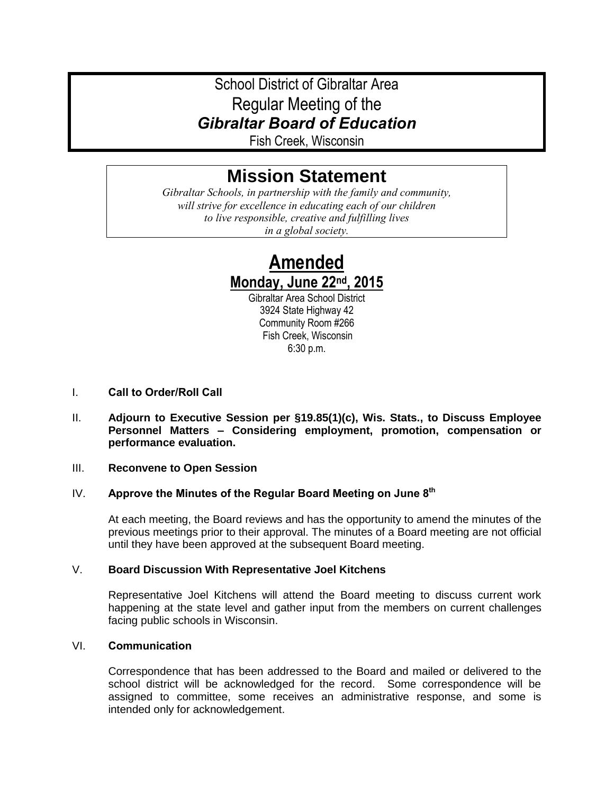## School District of Gibraltar Area Regular Meeting of the *Gibraltar Board of Education*

Fish Creek, Wisconsin

# **Mission Statement**

*Gibraltar Schools, in partnership with the family and community, will strive for excellence in educating each of our children to live responsible, creative and fulfilling lives in a global society.*

## **Amended Monday, June 22nd, 2015**

Gibraltar Area School District 3924 State Highway 42 Community Room #266 Fish Creek, Wisconsin 6:30 p.m.

- I. **Call to Order/Roll Call**
- II. **Adjourn to Executive Session per §19.85(1)(c), Wis. Stats., to Discuss Employee Personnel Matters – Considering employment, promotion, compensation or performance evaluation.**

#### III. **Reconvene to Open Session**

## IV. **Approve the Minutes of the Regular Board Meeting on June 8th**

At each meeting, the Board reviews and has the opportunity to amend the minutes of the previous meetings prior to their approval. The minutes of a Board meeting are not official until they have been approved at the subsequent Board meeting.

## V. **Board Discussion With Representative Joel Kitchens**

Representative Joel Kitchens will attend the Board meeting to discuss current work happening at the state level and gather input from the members on current challenges facing public schools in Wisconsin.

## VI. **Communication**

Correspondence that has been addressed to the Board and mailed or delivered to the school district will be acknowledged for the record. Some correspondence will be assigned to committee, some receives an administrative response, and some is intended only for acknowledgement.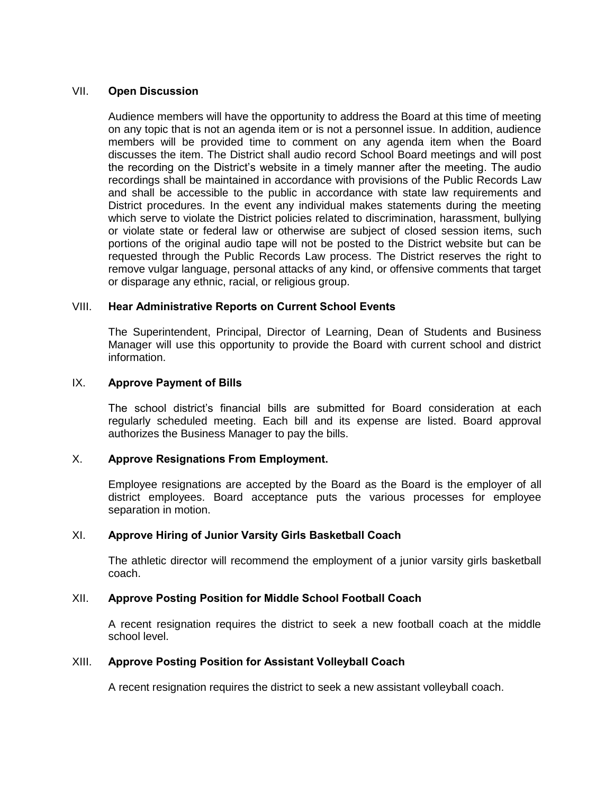## VII. **Open Discussion**

Audience members will have the opportunity to address the Board at this time of meeting on any topic that is not an agenda item or is not a personnel issue. In addition, audience members will be provided time to comment on any agenda item when the Board discusses the item. The District shall audio record School Board meetings and will post the recording on the District's website in a timely manner after the meeting. The audio recordings shall be maintained in accordance with provisions of the Public Records Law and shall be accessible to the public in accordance with state law requirements and District procedures. In the event any individual makes statements during the meeting which serve to violate the District policies related to discrimination, harassment, bullying or violate state or federal law or otherwise are subject of closed session items, such portions of the original audio tape will not be posted to the District website but can be requested through the Public Records Law process. The District reserves the right to remove vulgar language, personal attacks of any kind, or offensive comments that target or disparage any ethnic, racial, or religious group.

## VIII. **Hear Administrative Reports on Current School Events**

The Superintendent, Principal, Director of Learning, Dean of Students and Business Manager will use this opportunity to provide the Board with current school and district information.

## IX. **Approve Payment of Bills**

The school district's financial bills are submitted for Board consideration at each regularly scheduled meeting. Each bill and its expense are listed. Board approval authorizes the Business Manager to pay the bills.

## X. **Approve Resignations From Employment.**

Employee resignations are accepted by the Board as the Board is the employer of all district employees. Board acceptance puts the various processes for employee separation in motion.

## XI. **Approve Hiring of Junior Varsity Girls Basketball Coach**

The athletic director will recommend the employment of a junior varsity girls basketball coach.

#### XII. **Approve Posting Position for Middle School Football Coach**

A recent resignation requires the district to seek a new football coach at the middle school level.

#### XIII. **Approve Posting Position for Assistant Volleyball Coach**

A recent resignation requires the district to seek a new assistant volleyball coach.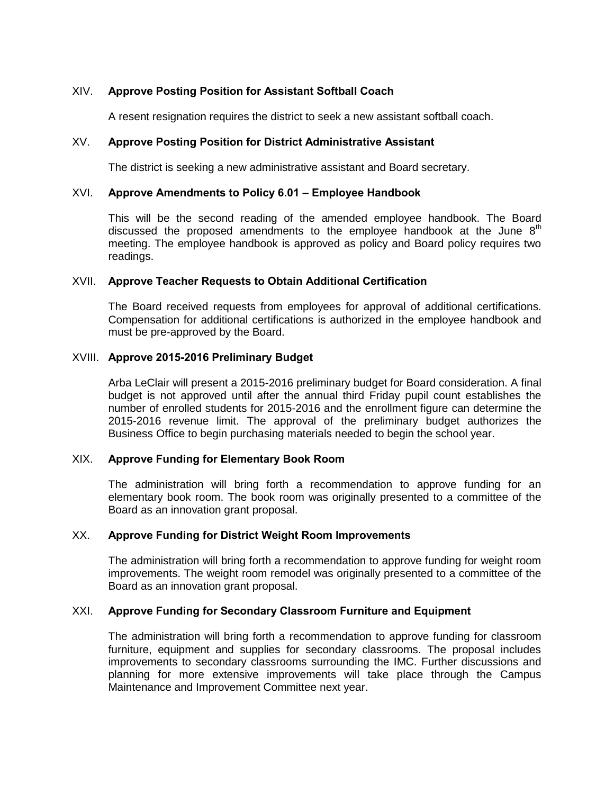## XIV. **Approve Posting Position for Assistant Softball Coach**

A resent resignation requires the district to seek a new assistant softball coach.

#### XV. **Approve Posting Position for District Administrative Assistant**

The district is seeking a new administrative assistant and Board secretary.

## XVI. **Approve Amendments to Policy 6.01 – Employee Handbook**

This will be the second reading of the amended employee handbook. The Board discussed the proposed amendments to the employee handbook at the June  $8<sup>th</sup>$ meeting. The employee handbook is approved as policy and Board policy requires two readings.

#### XVII. **Approve Teacher Requests to Obtain Additional Certification**

The Board received requests from employees for approval of additional certifications. Compensation for additional certifications is authorized in the employee handbook and must be pre-approved by the Board.

#### XVIII. **Approve 2015-2016 Preliminary Budget**

Arba LeClair will present a 2015-2016 preliminary budget for Board consideration. A final budget is not approved until after the annual third Friday pupil count establishes the number of enrolled students for 2015-2016 and the enrollment figure can determine the 2015-2016 revenue limit. The approval of the preliminary budget authorizes the Business Office to begin purchasing materials needed to begin the school year.

#### XIX. **Approve Funding for Elementary Book Room**

The administration will bring forth a recommendation to approve funding for an elementary book room. The book room was originally presented to a committee of the Board as an innovation grant proposal.

## XX. **Approve Funding for District Weight Room Improvements**

The administration will bring forth a recommendation to approve funding for weight room improvements. The weight room remodel was originally presented to a committee of the Board as an innovation grant proposal.

## XXI. **Approve Funding for Secondary Classroom Furniture and Equipment**

The administration will bring forth a recommendation to approve funding for classroom furniture, equipment and supplies for secondary classrooms. The proposal includes improvements to secondary classrooms surrounding the IMC. Further discussions and planning for more extensive improvements will take place through the Campus Maintenance and Improvement Committee next year.